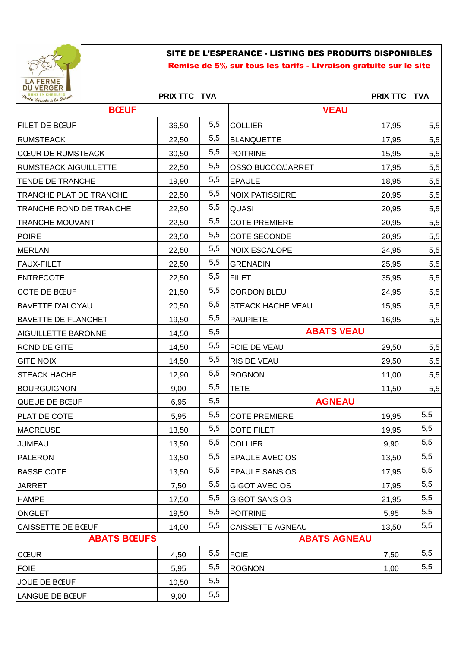

## SITE DE L'ESPERANCE - LISTING DES PRODUITS DISPONIBLES Remise de 5% sur tous les tarifs - Livraison gratuite sur le site

| Vente Directe à la Ferme       | PRIX TTC TVA |             |                          | PRIX TTC TVA |     |  |
|--------------------------------|--------------|-------------|--------------------------|--------------|-----|--|
| <b>BŒUF</b>                    |              | <b>VEAU</b> |                          |              |     |  |
| <b>FILET DE BŒUF</b>           | 36,50        | 5,5         | <b>COLLIER</b>           | 17,95        | 5,5 |  |
| <b>RUMSTEACK</b>               | 22,50        | 5,5         | <b>BLANQUETTE</b>        | 17,95        | 5,5 |  |
| <b>CŒUR DE RUMSTEACK</b>       | 30,50        | 5,5         | <b>POITRINE</b>          | 15,95        | 5,5 |  |
| <b>RUMSTEACK AIGUILLETTE</b>   | 22,50        | 5,5         | <b>OSSO BUCCO/JARRET</b> | 17,95        | 5,5 |  |
| <b>TENDE DE TRANCHE</b>        | 19,90        | 5,5         | <b>EPAULE</b>            | 18,95        | 5,5 |  |
| <b>TRANCHE PLAT DE TRANCHE</b> | 22,50        | 5,5         | <b>NOIX PATISSIERE</b>   | 20,95        | 5,5 |  |
| <b>TRANCHE ROND DE TRANCHE</b> | 22,50        | 5,5         | <b>QUASI</b>             | 20,95        | 5,5 |  |
| <b>TRANCHE MOUVANT</b>         | 22,50        | 5,5         | <b>COTE PREMIERE</b>     | 20,95        | 5,5 |  |
| <b>POIRE</b>                   | 23,50        | 5,5         | <b>COTE SECONDE</b>      | 20,95        | 5,5 |  |
| MERLAN                         | 22,50        | 5,5         | <b>NOIX ESCALOPE</b>     | 24,95        | 5,5 |  |
| FAUX-FILET                     | 22,50        | 5,5         | <b>GRENADIN</b>          | 25,95        | 5,5 |  |
| <b>ENTRECOTE</b>               | 22,50        | 5,5         | <b>FILET</b>             | 35,95        | 5,5 |  |
| <b>COTE DE BŒUF</b>            | 21,50        | 5,5         | <b>CORDON BLEU</b>       | 24,95        | 5,5 |  |
| <b>BAVETTE D'ALOYAU</b>        | 20,50        | 5,5         | <b>STEACK HACHE VEAU</b> | 15,95        | 5,5 |  |
| <b>BAVETTE DE FLANCHET</b>     | 19,50        | 5,5         | <b>PAUPIETE</b>          | 16,95        | 5,5 |  |
| <b>AIGUILLETTE BARONNE</b>     | 14,50        | 5,5         | <b>ABATS VEAU</b>        |              |     |  |
| <b>ROND DE GITE</b>            | 14,50        | 5,5         | FOIE DE VEAU             | 29,50        | 5,5 |  |
| <b>GITE NOIX</b>               | 14,50        | 5,5         | RIS DE VEAU              | 29,50        | 5,5 |  |
| STEACK HACHE                   | 12,90        | 5,5         | <b>ROGNON</b>            | 11,00        | 5,5 |  |
| <b>BOURGUIGNON</b>             | 9,00         | 5,5         | <b>TETE</b>              | 11,50        | 5,5 |  |
| QUEUE DE BŒUF                  | 6,95         | 5,5         | <b>AGNEAU</b>            |              |     |  |
| <b>PLAT DE COTE</b>            | 5,95         | 5,5         | <b>COTE PREMIERE</b>     | 19,95        | 5,5 |  |
| MACREUSE                       | 13,50        | 5,5         | <b>COTE FILET</b>        | 19,95        | 5,5 |  |
| <b>JUMEAU</b>                  | 13,50        | 5,5         | <b>COLLIER</b>           | 9,90         | 5,5 |  |
| PALERON                        | 13,50        | 5,5         | <b>EPAULE AVEC OS</b>    | 13,50        | 5,5 |  |
| <b>BASSE COTE</b>              | 13,50        | 5,5         | <b>EPAULE SANS OS</b>    | 17,95        | 5,5 |  |
| <b>JARRET</b>                  | 7,50         | 5,5         | <b>GIGOT AVEC OS</b>     | 17,95        | 5,5 |  |
| <b>HAMPE</b>                   | 17,50        | 5,5         | <b>GIGOT SANS OS</b>     | 21,95        | 5,5 |  |
| <b>ONGLET</b>                  | 19,50        | 5,5         | <b>POITRINE</b>          | 5,95         | 5,5 |  |
| CAISSETTE DE BŒUF              | 14,00        | 5,5         | CAISSETTE AGNEAU         | 13,50        | 5,5 |  |
| <b>ABATS BŒUFS</b>             |              |             | <b>ABATS AGNEAU</b>      |              |     |  |
| <b>CŒUR</b>                    | 4,50         | 5,5         | <b>FOIE</b>              | 7,50         | 5,5 |  |
| <b>FOIE</b>                    | 5,95         | 5,5         | <b>ROGNON</b>            | 1,00         | 5,5 |  |
| JOUE DE BŒUF                   | 10,50        | 5,5         |                          |              |     |  |
| <b>LANGUE DE BŒUF</b>          | 9,00         | 5,5         |                          |              |     |  |